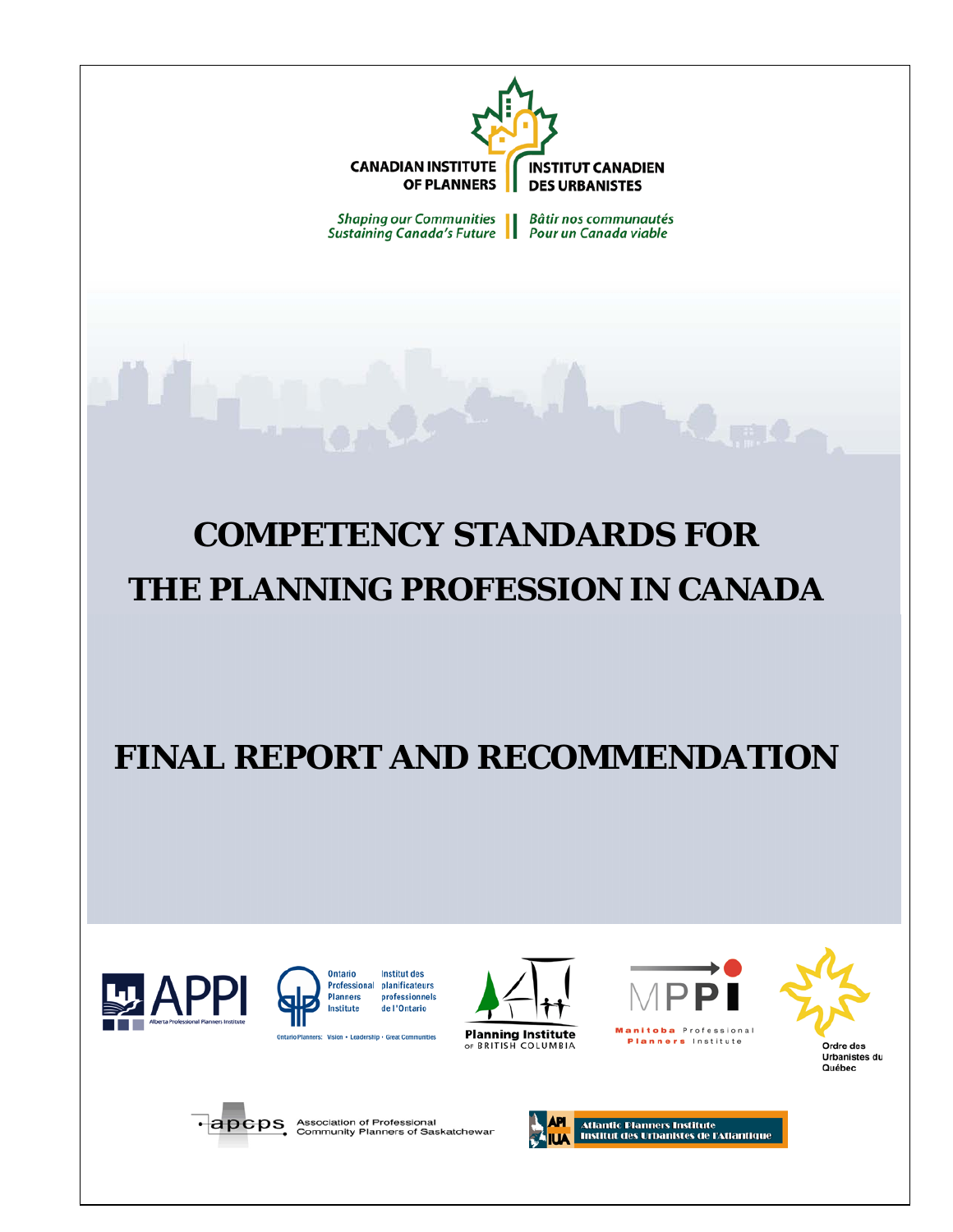

**Shaping our Communities Bâtir nos communautés Sustaining Canada's Future** Pour un Canada viable

# **COMPETENCY STANDARDS FOR THE PLANNING PROFESSION IN CANADA**

# **FINAL REPORT AND RECOMMENDATION**





**Institut des** Professional planificateurs professionnels de l'Ontario

Vision - Leadership - Great Communities **Ontario Pla** 





Planners Institute



Québec



• **apcps** Association of Professional<br>Community Planners of Saskatchewar

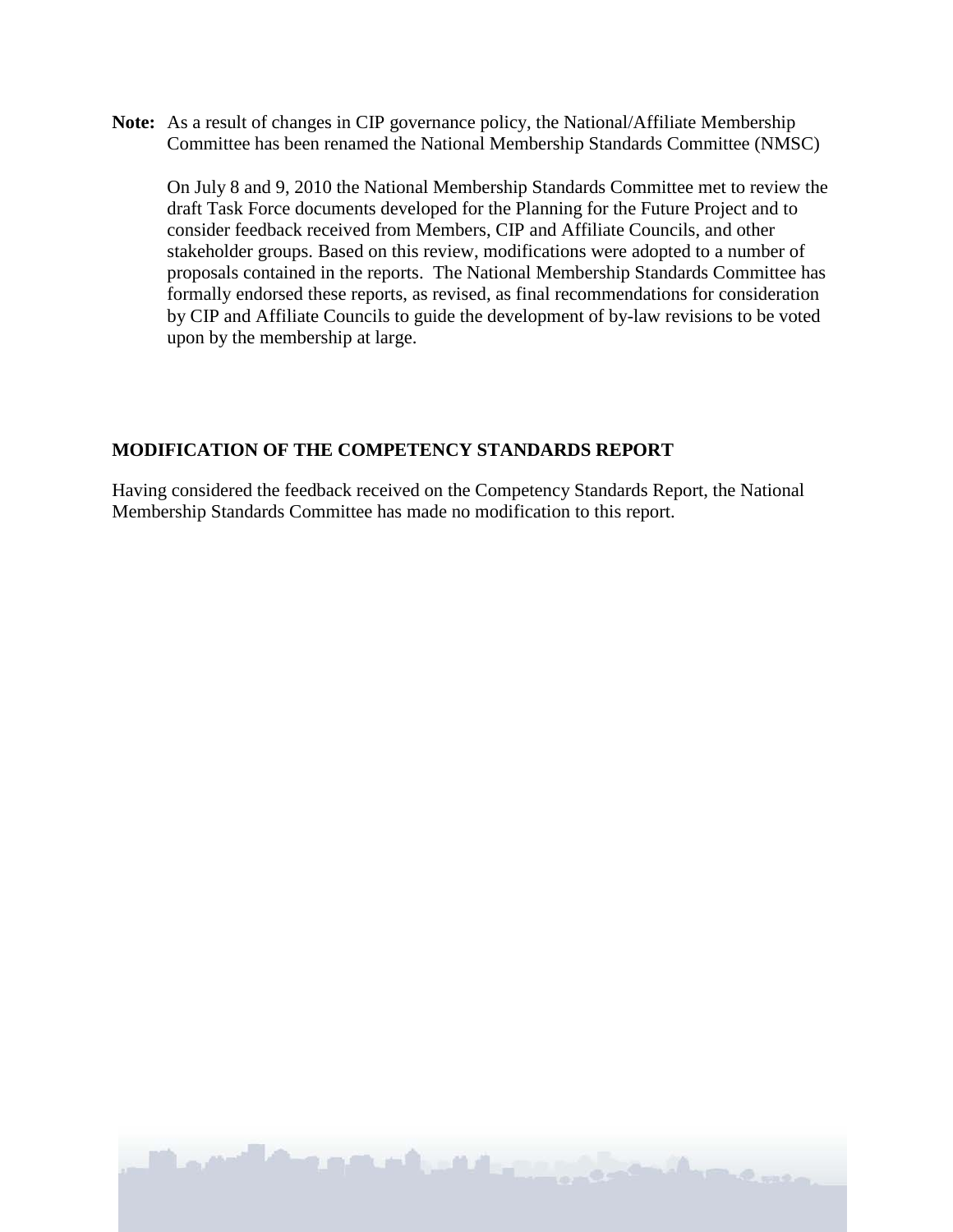**Note:** As a result of changes in CIP governance policy, the National/Affiliate Membership Committee has been renamed the National Membership Standards Committee (NMSC)

On July 8 and 9, 2010 the National Membership Standards Committee met to review the draft Task Force documents developed for the Planning for the Future Project and to consider feedback received from Members, CIP and Affiliate Councils, and other stakeholder groups. Based on this review, modifications were adopted to a number of proposals contained in the reports. The National Membership Standards Committee has formally endorsed these reports, as revised, as final recommendations for consideration by CIP and Affiliate Councils to guide the development of by-law revisions to be voted upon by the membership at large.

### **MODIFICATION OF THE COMPETENCY STANDARDS REPORT**

Having considered the feedback received on the Competency Standards Report, the National Membership Standards Committee has made no modification to this report.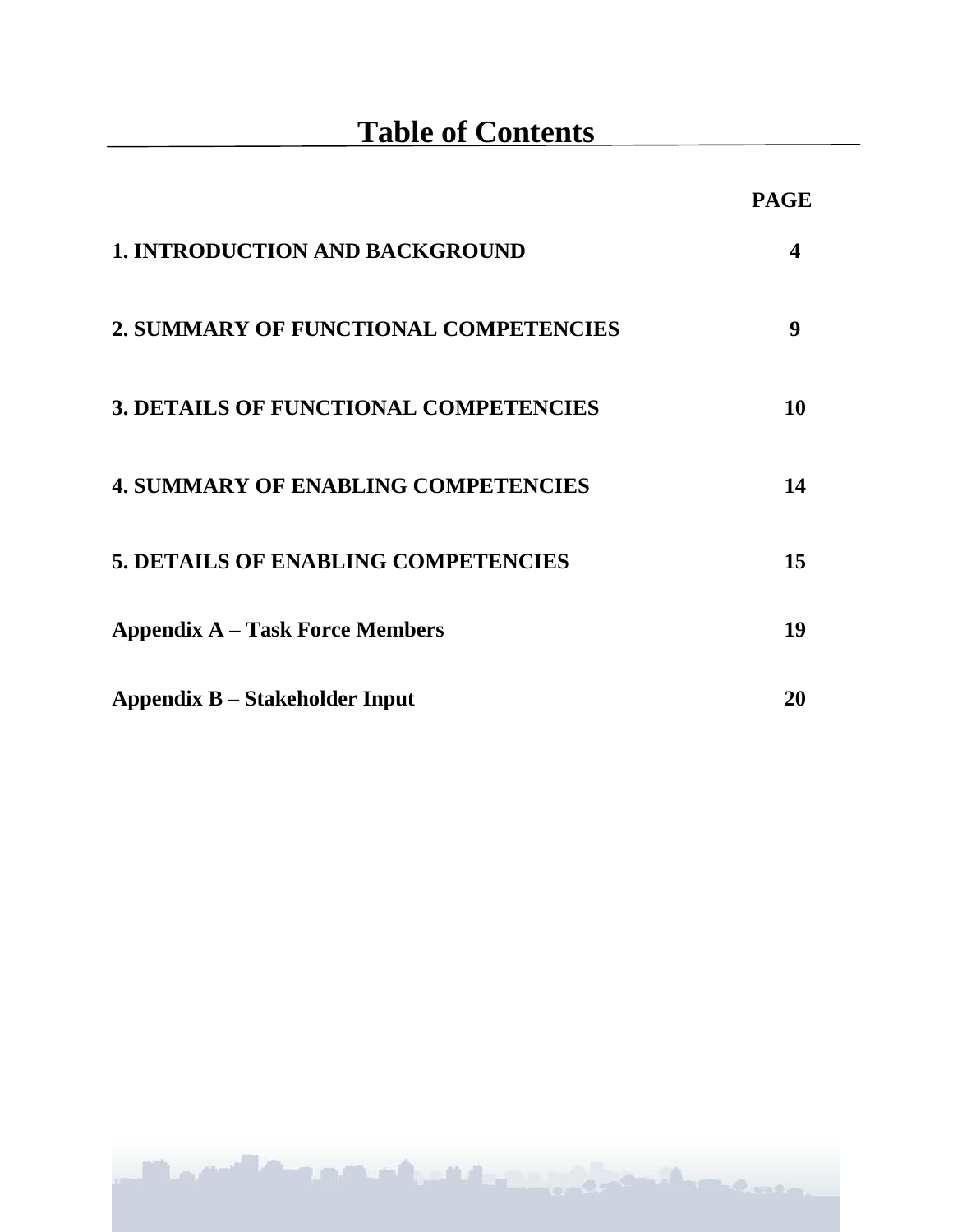|                                              | <b>PAGE</b> |
|----------------------------------------------|-------------|
| <b>1. INTRODUCTION AND BACKGROUND</b>        | 4           |
| 2. SUMMARY OF FUNCTIONAL COMPETENCIES        | 9           |
| <b>3. DETAILS OF FUNCTIONAL COMPETENCIES</b> | 10          |
| <b>4. SUMMARY OF ENABLING COMPETENCIES</b>   | 14          |
| <b>5. DETAILS OF ENABLING COMPETENCIES</b>   | 15          |
| <b>Appendix A – Task Force Members</b>       | 19          |
| <b>Appendix B – Stakeholder Input</b>        | 20          |

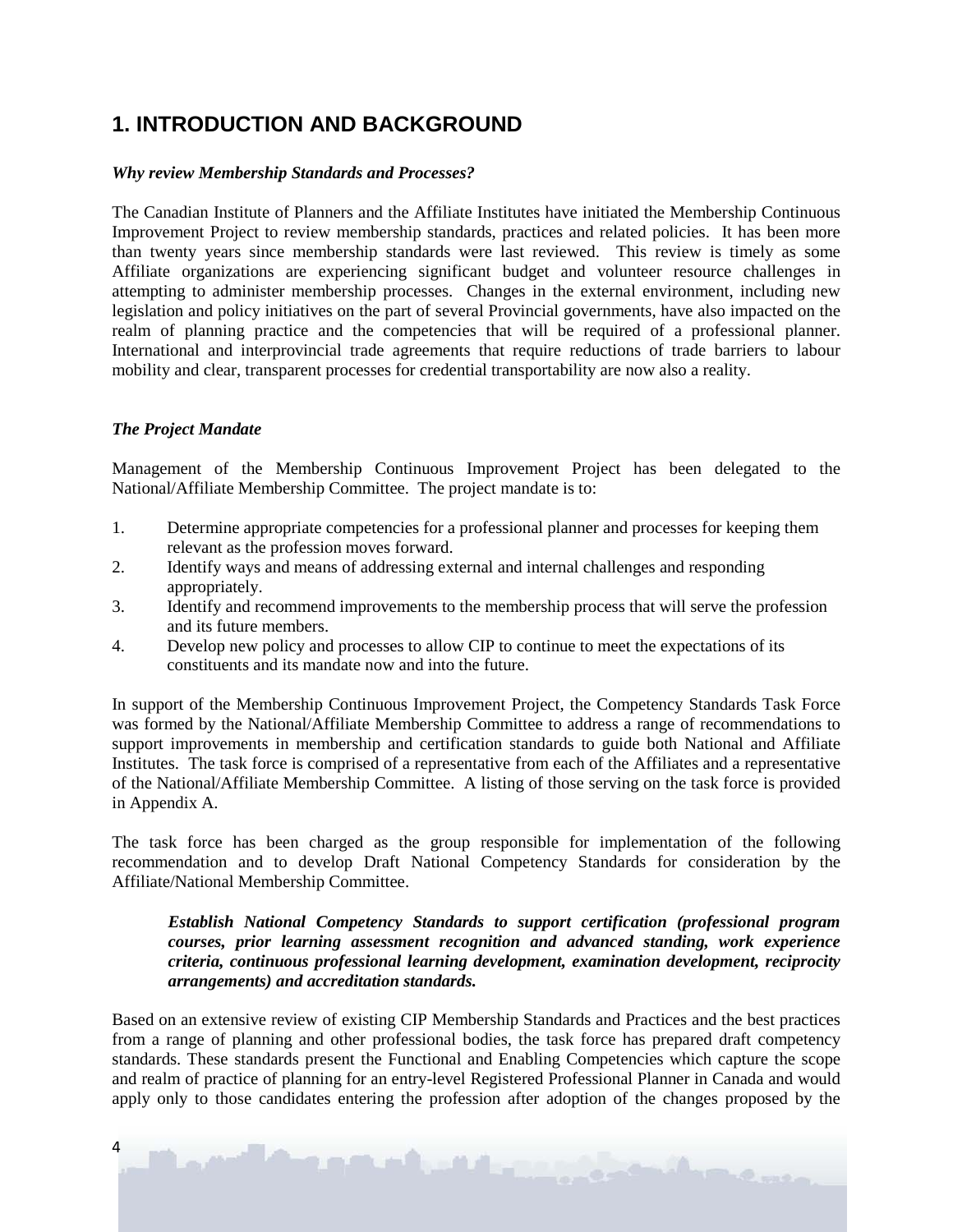# **1. INTRODUCTION AND BACKGROUND**

#### *Why review Membership Standards and Processes?*

The Canadian Institute of Planners and the Affiliate Institutes have initiated the Membership Continuous Improvement Project to review membership standards, practices and related policies. It has been more than twenty years since membership standards were last reviewed. This review is timely as some Affiliate organizations are experiencing significant budget and volunteer resource challenges in attempting to administer membership processes. Changes in the external environment, including new legislation and policy initiatives on the part of several Provincial governments, have also impacted on the realm of planning practice and the competencies that will be required of a professional planner. International and interprovincial trade agreements that require reductions of trade barriers to labour mobility and clear, transparent processes for credential transportability are now also a reality.

#### *The Project Mandate*

Management of the Membership Continuous Improvement Project has been delegated to the National/Affiliate Membership Committee. The project mandate is to:

- 1. Determine appropriate competencies for a professional planner and processes for keeping them relevant as the profession moves forward.
- 2. Identify ways and means of addressing external and internal challenges and responding appropriately.
- 3. Identify and recommend improvements to the membership process that will serve the profession and its future members.
- 4. Develop new policy and processes to allow CIP to continue to meet the expectations of its constituents and its mandate now and into the future.

In support of the Membership Continuous Improvement Project, the Competency Standards Task Force was formed by the National/Affiliate Membership Committee to address a range of recommendations to support improvements in membership and certification standards to guide both National and Affiliate Institutes. The task force is comprised of a representative from each of the Affiliates and a representative of the National/Affiliate Membership Committee. A listing of those serving on the task force is provided in Appendix A.

The task force has been charged as the group responsible for implementation of the following recommendation and to develop Draft National Competency Standards for consideration by the Affiliate/National Membership Committee.

#### *Establish National Competency Standards to support certification (professional program courses, prior learning assessment recognition and advanced standing, work experience criteria, continuous professional learning development, examination development, reciprocity arrangements) and accreditation standards.*

Based on an extensive review of existing CIP Membership Standards and Practices and the best practices from a range of planning and other professional bodies, the task force has prepared draft competency standards. These standards present the Functional and Enabling Competencies which capture the scope and realm of practice of planning for an entry-level Registered Professional Planner in Canada and would apply only to those candidates entering the profession after adoption of the changes proposed by the

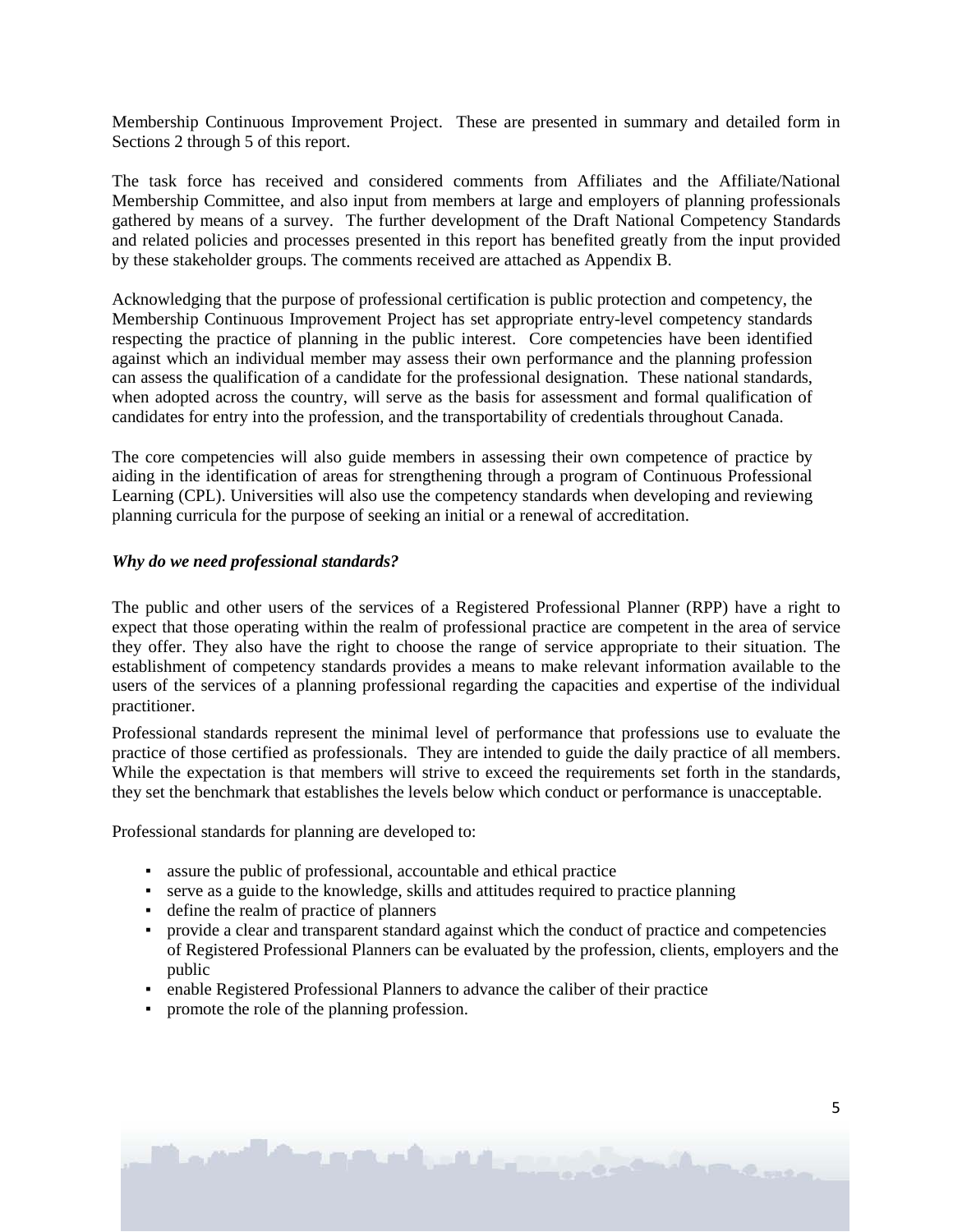Membership Continuous Improvement Project. These are presented in summary and detailed form in Sections 2 through 5 of this report.

The task force has received and considered comments from Affiliates and the Affiliate/National Membership Committee, and also input from members at large and employers of planning professionals gathered by means of a survey. The further development of the Draft National Competency Standards and related policies and processes presented in this report has benefited greatly from the input provided by these stakeholder groups. The comments received are attached as Appendix B.

Acknowledging that the purpose of professional certification is public protection and competency, the Membership Continuous Improvement Project has set appropriate entry-level competency standards respecting the practice of planning in the public interest. Core competencies have been identified against which an individual member may assess their own performance and the planning profession can assess the qualification of a candidate for the professional designation. These national standards, when adopted across the country, will serve as the basis for assessment and formal qualification of candidates for entry into the profession, and the transportability of credentials throughout Canada.

The core competencies will also guide members in assessing their own competence of practice by aiding in the identification of areas for strengthening through a program of Continuous Professional Learning (CPL). Universities will also use the competency standards when developing and reviewing planning curricula for the purpose of seeking an initial or a renewal of accreditation.

#### *Why do we need professional standards?*

The public and other users of the services of a Registered Professional Planner (RPP) have a right to expect that those operating within the realm of professional practice are competent in the area of service they offer. They also have the right to choose the range of service appropriate to their situation. The establishment of competency standards provides a means to make relevant information available to the users of the services of a planning professional regarding the capacities and expertise of the individual practitioner.

Professional standards represent the minimal level of performance that professions use to evaluate the practice of those certified as professionals. They are intended to guide the daily practice of all members. While the expectation is that members will strive to exceed the requirements set forth in the standards, they set the benchmark that establishes the levels below which conduct or performance is unacceptable.

Professional standards for planning are developed to:

- assure the public of professional, accountable and ethical practice
- serve as a guide to the knowledge, skills and attitudes required to practice planning
- define the realm of practice of planners
- provide a clear and transparent standard against which the conduct of practice and competencies of Registered Professional Planners can be evaluated by the profession, clients, employers and the public
- enable Registered Professional Planners to advance the caliber of their practice
- promote the role of the planning profession.

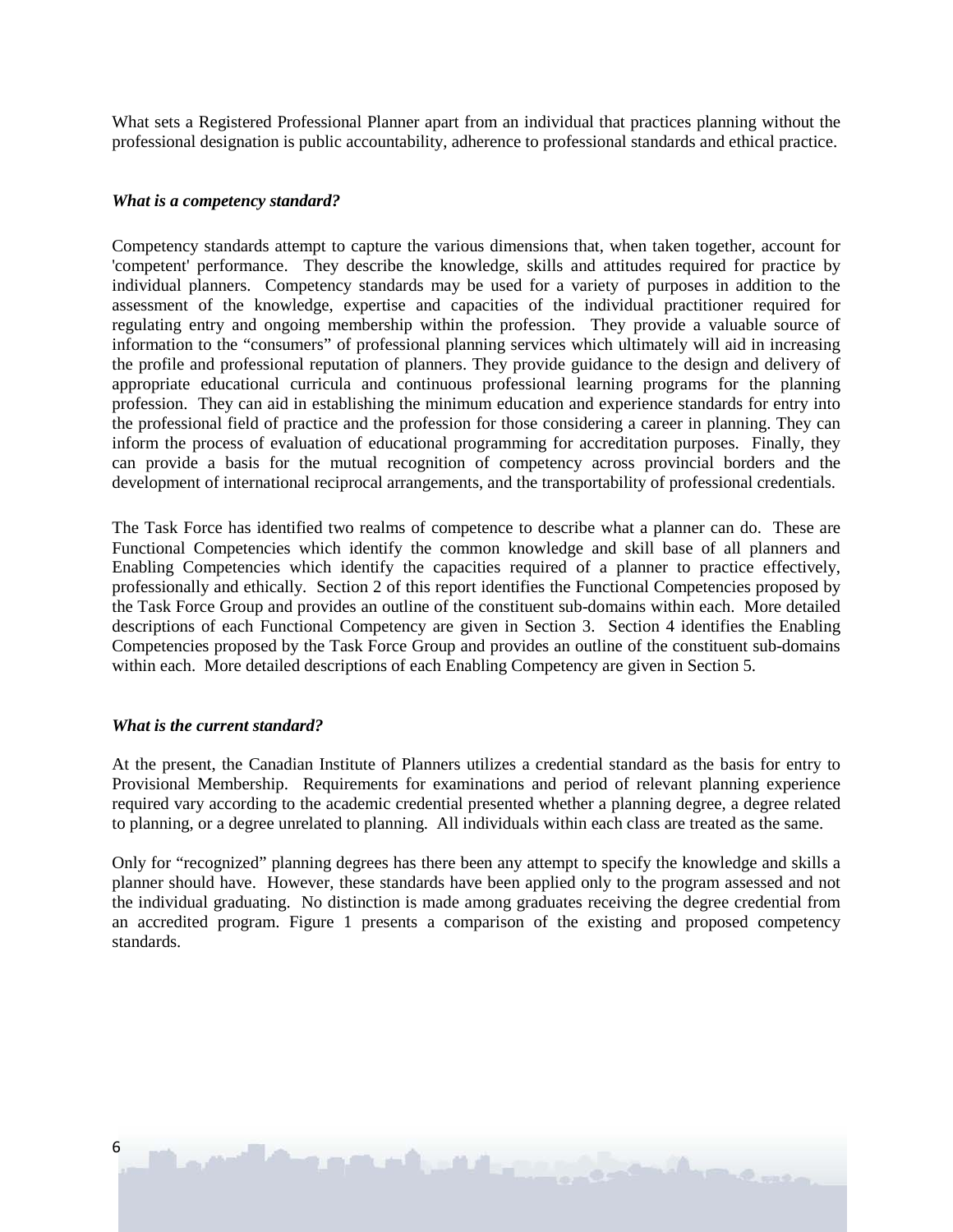What sets a Registered Professional Planner apart from an individual that practices planning without the professional designation is public accountability, adherence to professional standards and ethical practice.

#### *What is a competency standard?*

Competency standards attempt to capture the various dimensions that, when taken together, account for 'competent' performance. They describe the knowledge, skills and attitudes required for practice by individual planners. Competency standards may be used for a variety of purposes in addition to the assessment of the knowledge, expertise and capacities of the individual practitioner required for regulating entry and ongoing membership within the profession. They provide a valuable source of information to the "consumers" of professional planning services which ultimately will aid in increasing the profile and professional reputation of planners. They provide guidance to the design and delivery of appropriate educational curricula and continuous professional learning programs for the planning profession. They can aid in establishing the minimum education and experience standards for entry into the professional field of practice and the profession for those considering a career in planning. They can inform the process of evaluation of educational programming for accreditation purposes. Finally, they can provide a basis for the mutual recognition of competency across provincial borders and the development of international reciprocal arrangements, and the transportability of professional credentials.

The Task Force has identified two realms of competence to describe what a planner can do. These are Functional Competencies which identify the common knowledge and skill base of all planners and Enabling Competencies which identify the capacities required of a planner to practice effectively, professionally and ethically. Section 2 of this report identifies the Functional Competencies proposed by the Task Force Group and provides an outline of the constituent sub-domains within each. More detailed descriptions of each Functional Competency are given in Section 3. Section 4 identifies the Enabling Competencies proposed by the Task Force Group and provides an outline of the constituent sub-domains within each. More detailed descriptions of each Enabling Competency are given in Section 5.

#### *What is the current standard?*

At the present, the Canadian Institute of Planners utilizes a credential standard as the basis for entry to Provisional Membership. Requirements for examinations and period of relevant planning experience required vary according to the academic credential presented whether a planning degree, a degree related to planning, or a degree unrelated to planning. All individuals within each class are treated as the same.

Only for "recognized" planning degrees has there been any attempt to specify the knowledge and skills a planner should have. However, these standards have been applied only to the program assessed and not the individual graduating. No distinction is made among graduates receiving the degree credential from an accredited program. Figure 1 presents a comparison of the existing and proposed competency standards.

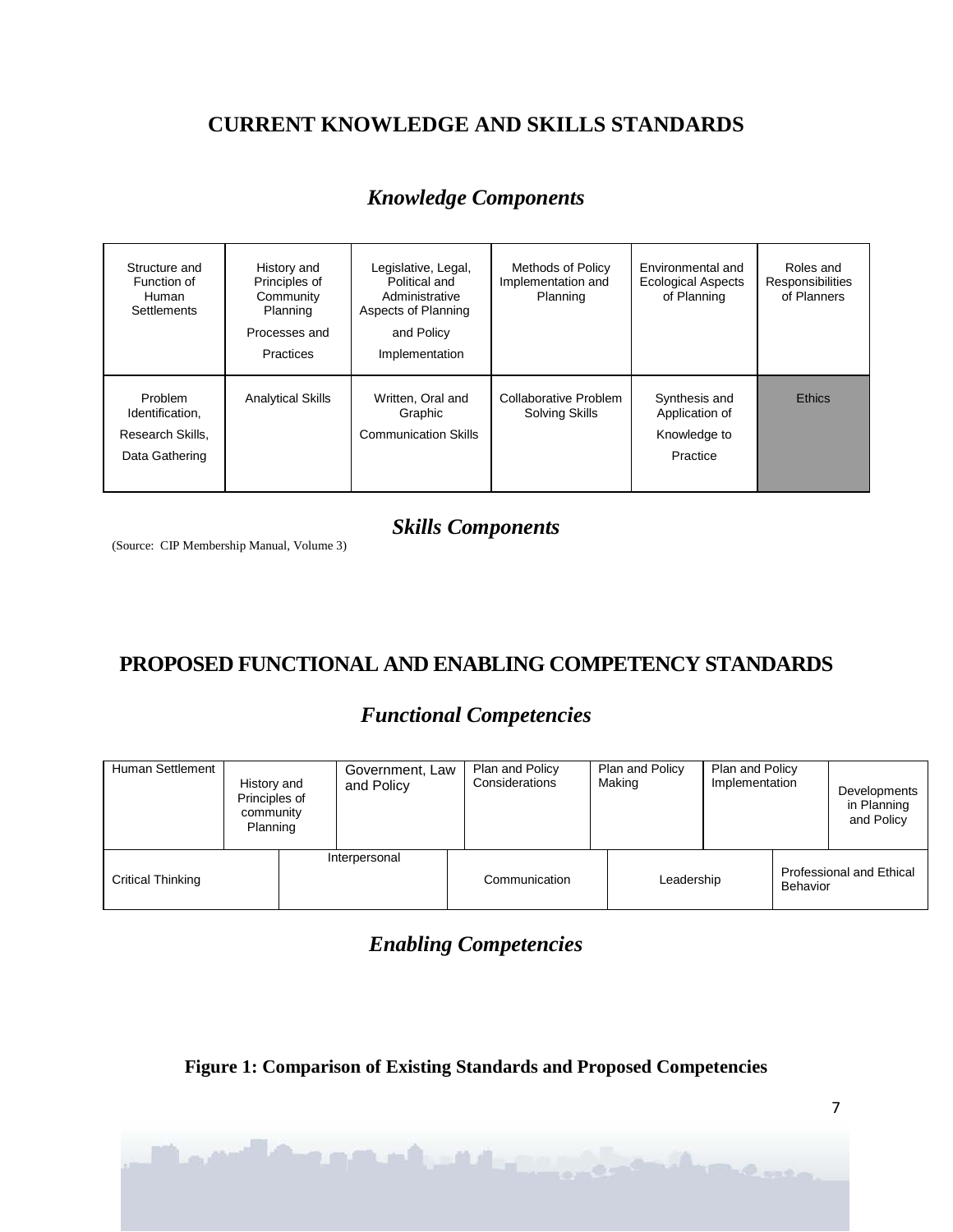# **CURRENT KNOWLEDGE AND SKILLS STANDARDS**

# Structure and History and Legislative, Legal, Methods of Policy Environmental and Roles and<br>Function of Principles of Political and Implementation and Ecological Aspects Responsibilities unction of Principles of Political and Implementation and Ecological Aspects Responsibilities<br>Human Community Administrative Planning of Planning of Planners Human | Community | Administrative | Planning | of Planning | of Planners Settlements | Planning | Aspects of Planning Processes and and Policy Practices | Implementation Problem Analytical Skills Written, Oral and Collaborative Problem Synthesis and Ethics<br>Identification, Craphic Solving Skills Application of Application of Research Skills, **Research Skills Communication Skills Account Account Account Account Account Account Account Communication Skills <b>Research Skills** Knowledge to Data Gathering **Practice Practice Practice Practice Practice Practice Practice**

### *Knowledge Components*

### *Skills Components*

(Source: CIP Membership Manual, Volume 3)

# **PROPOSED FUNCTIONAL AND ENABLING COMPETENCY STANDARDS**

### *Functional Competencies*

| Human Settlement         | History and<br>Principles of<br>community<br>Planning | Government, Law<br>and Policy | Plan and Policy<br>Considerations | Plan and Policy<br>Making | Plan and Policy<br>Implementation |          | Developments<br>in Planning<br>and Policy |
|--------------------------|-------------------------------------------------------|-------------------------------|-----------------------------------|---------------------------|-----------------------------------|----------|-------------------------------------------|
| <b>Critical Thinking</b> |                                                       | Interpersonal                 | Communication                     | Leadership                |                                   | Behavior | <b>Professional and Ethical</b>           |

### *Enabling Competencies*

**Figure 1: Comparison of Existing Standards and Proposed Competencies** 

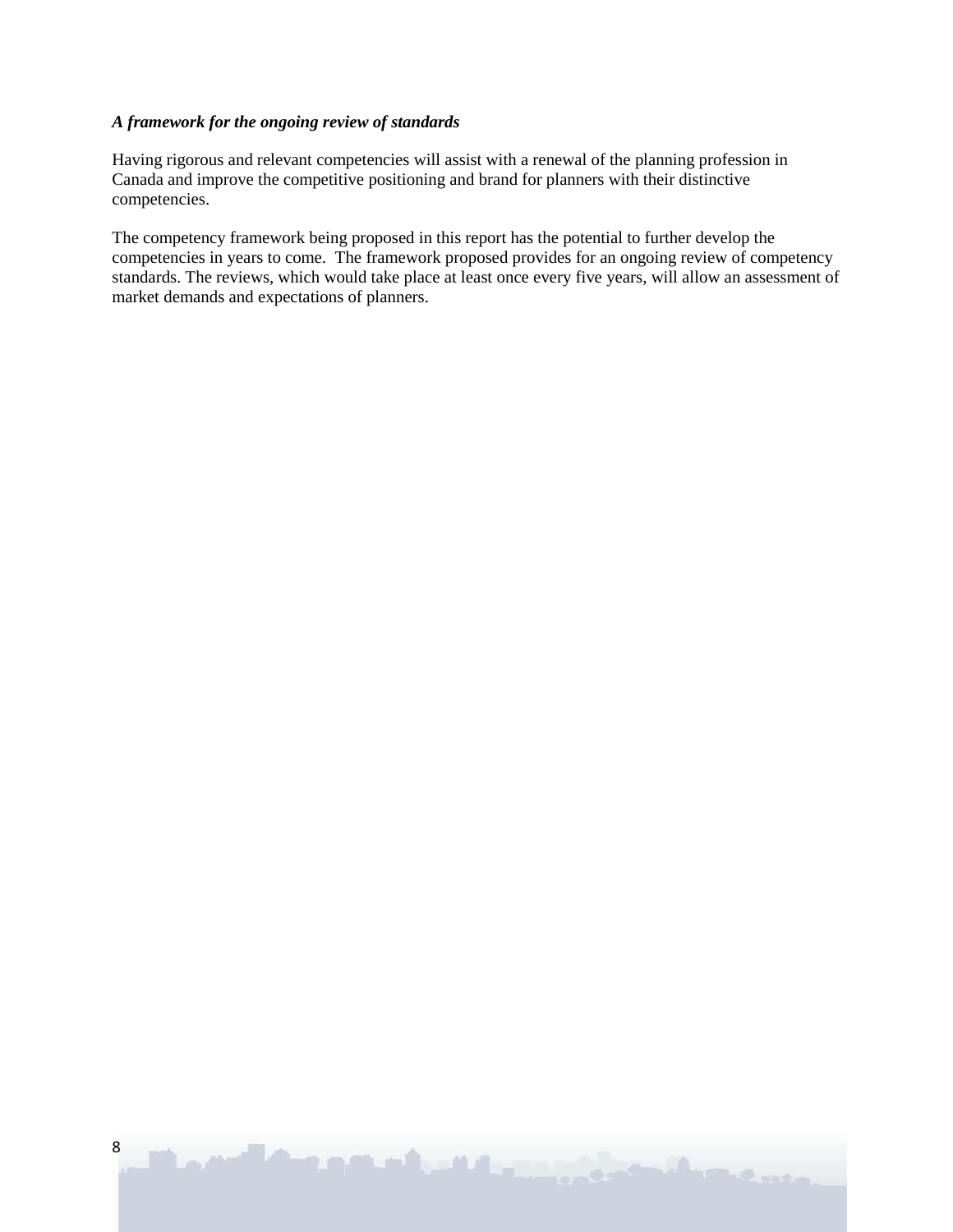#### *A framework for the ongoing review of standards*

Having rigorous and relevant competencies will assist with a renewal of the planning profession in Canada and improve the competitive positioning and brand for planners with their distinctive competencies.

The competency framework being proposed in this report has the potential to further develop the competencies in years to come. The framework proposed provides for an ongoing review of competency standards. The reviews, which would take place at least once every five years, will allow an assessment of market demands and expectations of planners.

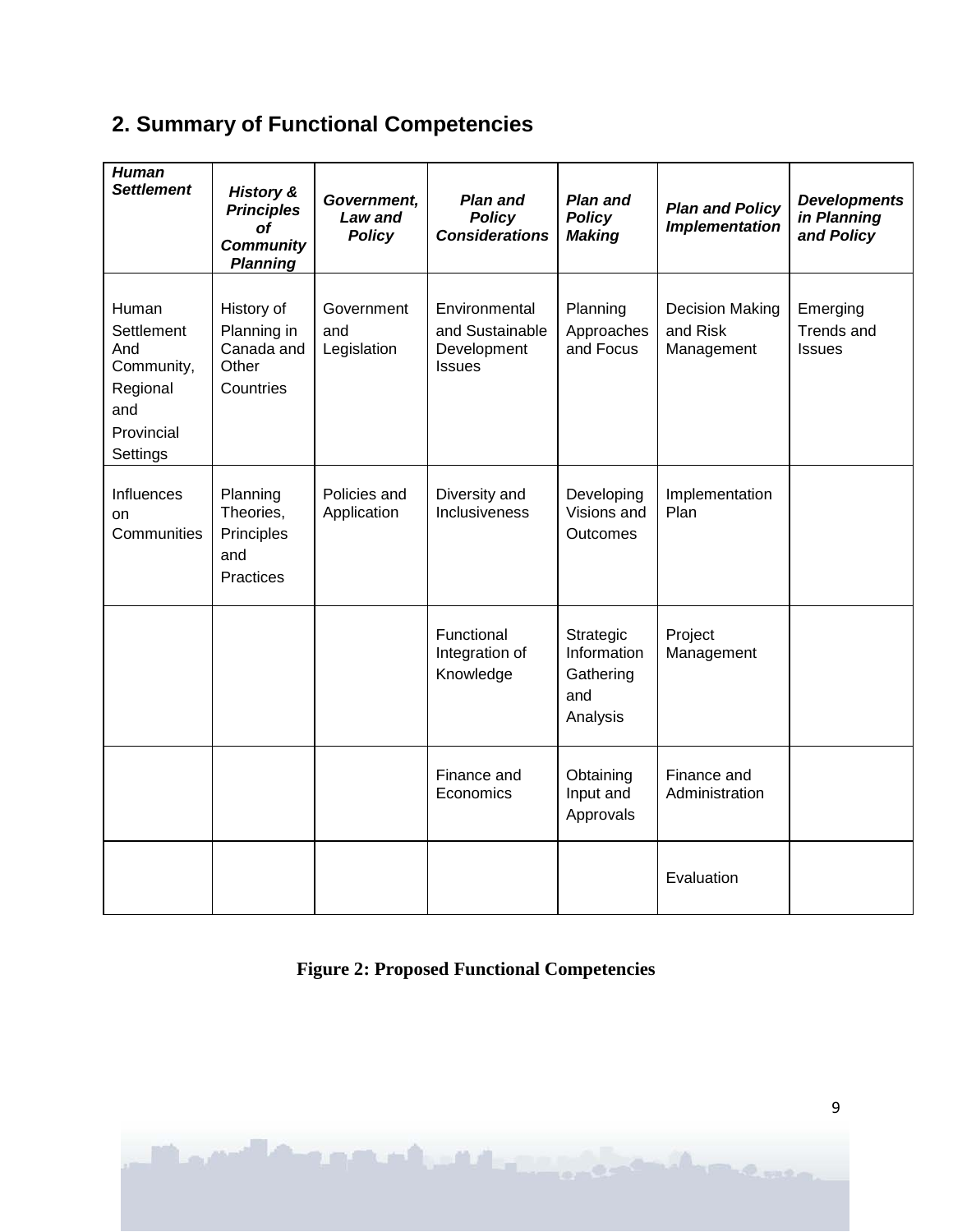# **2. Summary of Functional Competencies**

| <b>Human</b><br><b>Settlement</b>                                                     | <b>History &amp;</b><br><b>Principles</b><br>οf<br><b>Community</b><br><b>Planning</b> | Government,<br>Law and<br><b>Policy</b> | <b>Plan and</b><br><b>Policy</b><br><b>Considerations</b>        | <b>Plan and</b><br><b>Policy</b><br><b>Making</b>        | <b>Plan and Policy</b><br><b>Implementation</b>  | <b>Developments</b><br>in Planning<br>and Policy |
|---------------------------------------------------------------------------------------|----------------------------------------------------------------------------------------|-----------------------------------------|------------------------------------------------------------------|----------------------------------------------------------|--------------------------------------------------|--------------------------------------------------|
| Human<br>Settlement<br>And<br>Community,<br>Regional<br>and<br>Provincial<br>Settings | History of<br>Planning in<br>Canada and<br>Other<br>Countries                          | Government<br>and<br>Legislation        | Environmental<br>and Sustainable<br>Development<br><b>Issues</b> | Planning<br>Approaches<br>and Focus                      | <b>Decision Making</b><br>and Risk<br>Management | Emerging<br>Trends and<br><b>Issues</b>          |
| Influences<br><b>on</b><br>Communities                                                | Planning<br>Theories,<br>Principles<br>and<br>Practices                                | Policies and<br>Application             | Diversity and<br>Inclusiveness                                   | Developing<br>Visions and<br>Outcomes                    | Implementation<br>Plan                           |                                                  |
|                                                                                       |                                                                                        |                                         | Functional<br>Integration of<br>Knowledge                        | Strategic<br>Information<br>Gathering<br>and<br>Analysis | Project<br>Management                            |                                                  |
|                                                                                       |                                                                                        |                                         | Finance and<br>Economics                                         | Obtaining<br>Input and<br>Approvals                      | Finance and<br>Administration                    |                                                  |
|                                                                                       |                                                                                        |                                         |                                                                  |                                                          | Evaluation                                       |                                                  |

# **Figure 2: Proposed Functional Competencies**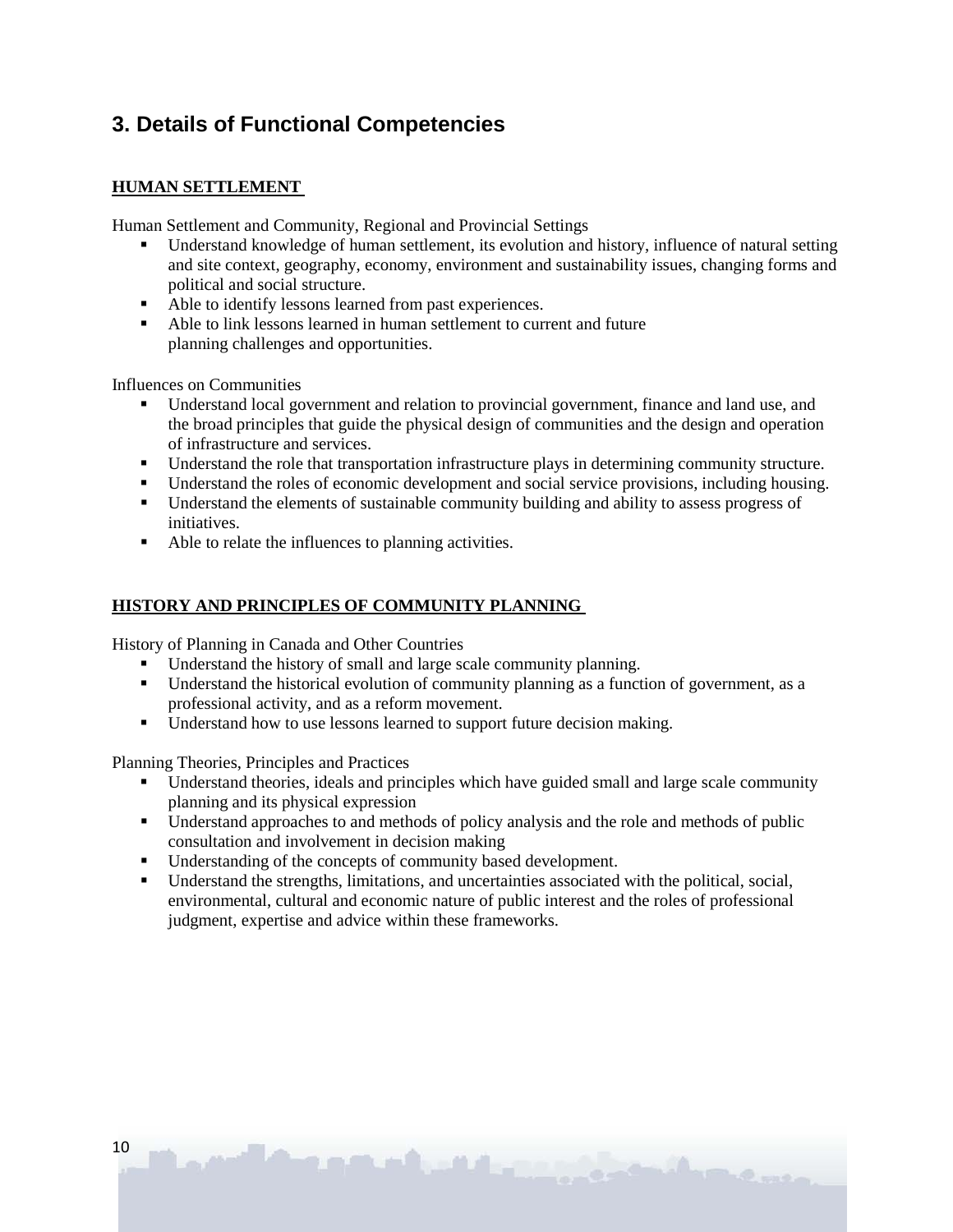# **3. Details of Functional Competencies**

### **HUMAN SETTLEMENT**

Human Settlement and Community, Regional and Provincial Settings

- Understand knowledge of human settlement, its evolution and history, influence of natural setting and site context, geography, economy, environment and sustainability issues, changing forms and political and social structure.
- Able to identify lessons learned from past experiences.
- Able to link lessons learned in human settlement to current and future planning challenges and opportunities.

Influences on Communities

- Understand local government and relation to provincial government, finance and land use, and the broad principles that guide the physical design of communities and the design and operation of infrastructure and services.
- Understand the role that transportation infrastructure plays in determining community structure.
- Understand the roles of economic development and social service provisions, including housing.
- Understand the elements of sustainable community building and ability to assess progress of initiatives.
- Able to relate the influences to planning activities.

#### **HISTORY AND PRINCIPLES OF COMMUNITY PLANNING**

History of Planning in Canada and Other Countries

- Understand the history of small and large scale community planning.
- Understand the historical evolution of community planning as a function of government, as a professional activity, and as a reform movement.
- Understand how to use lessons learned to support future decision making.

Planning Theories, Principles and Practices

- Understand theories, ideals and principles which have guided small and large scale community planning and its physical expression
- Understand approaches to and methods of policy analysis and the role and methods of public consultation and involvement in decision making
- Understanding of the concepts of community based development.
- Understand the strengths, limitations, and uncertainties associated with the political, social, environmental, cultural and economic nature of public interest and the roles of professional judgment, expertise and advice within these frameworks.

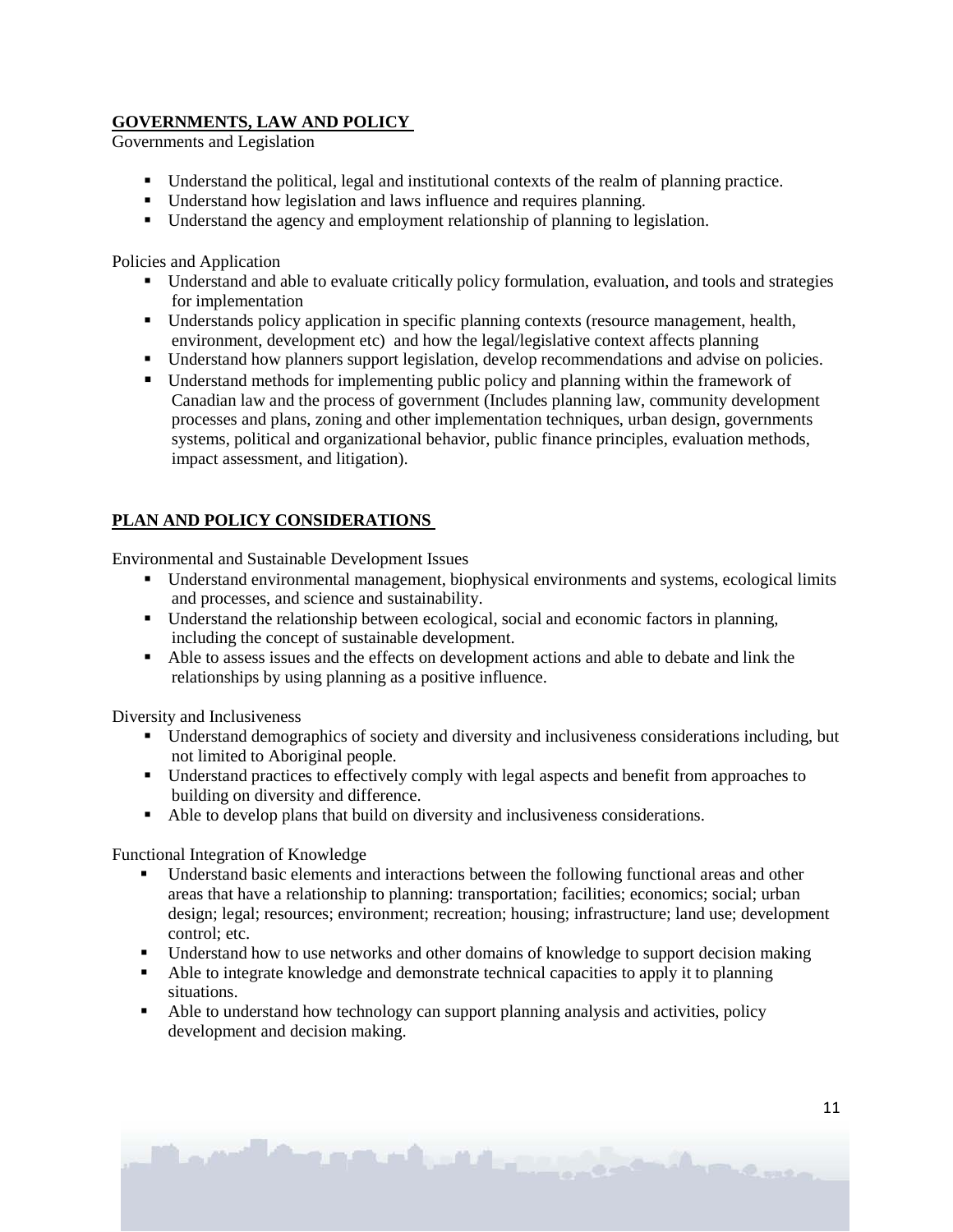### **GOVERNMENTS, LAW AND POLICY**

Governments and Legislation

- Understand the political, legal and institutional contexts of the realm of planning practice.
- Understand how legislation and laws influence and requires planning.
- Understand the agency and employment relationship of planning to legislation.

Policies and Application

- Understand and able to evaluate critically policy formulation, evaluation, and tools and strategies for implementation
- Understands policy application in specific planning contexts (resource management, health, environment, development etc) and how the legal/legislative context affects planning
- Understand how planners support legislation, develop recommendations and advise on policies.
- Understand methods for implementing public policy and planning within the framework of Canadian law and the process of government (Includes planning law, community development processes and plans, zoning and other implementation techniques, urban design, governments systems, political and organizational behavior, public finance principles, evaluation methods, impact assessment, and litigation).

### **PLAN AND POLICY CONSIDERATIONS**

Environmental and Sustainable Development Issues

- Understand environmental management, biophysical environments and systems, ecological limits and processes, and science and sustainability.
- Understand the relationship between ecological, social and economic factors in planning, including the concept of sustainable development.
- Able to assess issues and the effects on development actions and able to debate and link the relationships by using planning as a positive influence.

Diversity and Inclusiveness

- Understand demographics of society and diversity and inclusiveness considerations including, but not limited to Aboriginal people.
- Understand practices to effectively comply with legal aspects and benefit from approaches to building on diversity and difference.
- Able to develop plans that build on diversity and inclusiveness considerations.

Functional Integration of Knowledge

- Understand basic elements and interactions between the following functional areas and other areas that have a relationship to planning: transportation; facilities; economics; social; urban design; legal; resources; environment; recreation; housing; infrastructure; land use; development control; etc.
- Understand how to use networks and other domains of knowledge to support decision making
- Able to integrate knowledge and demonstrate technical capacities to apply it to planning situations.
- Able to understand how technology can support planning analysis and activities, policy development and decision making.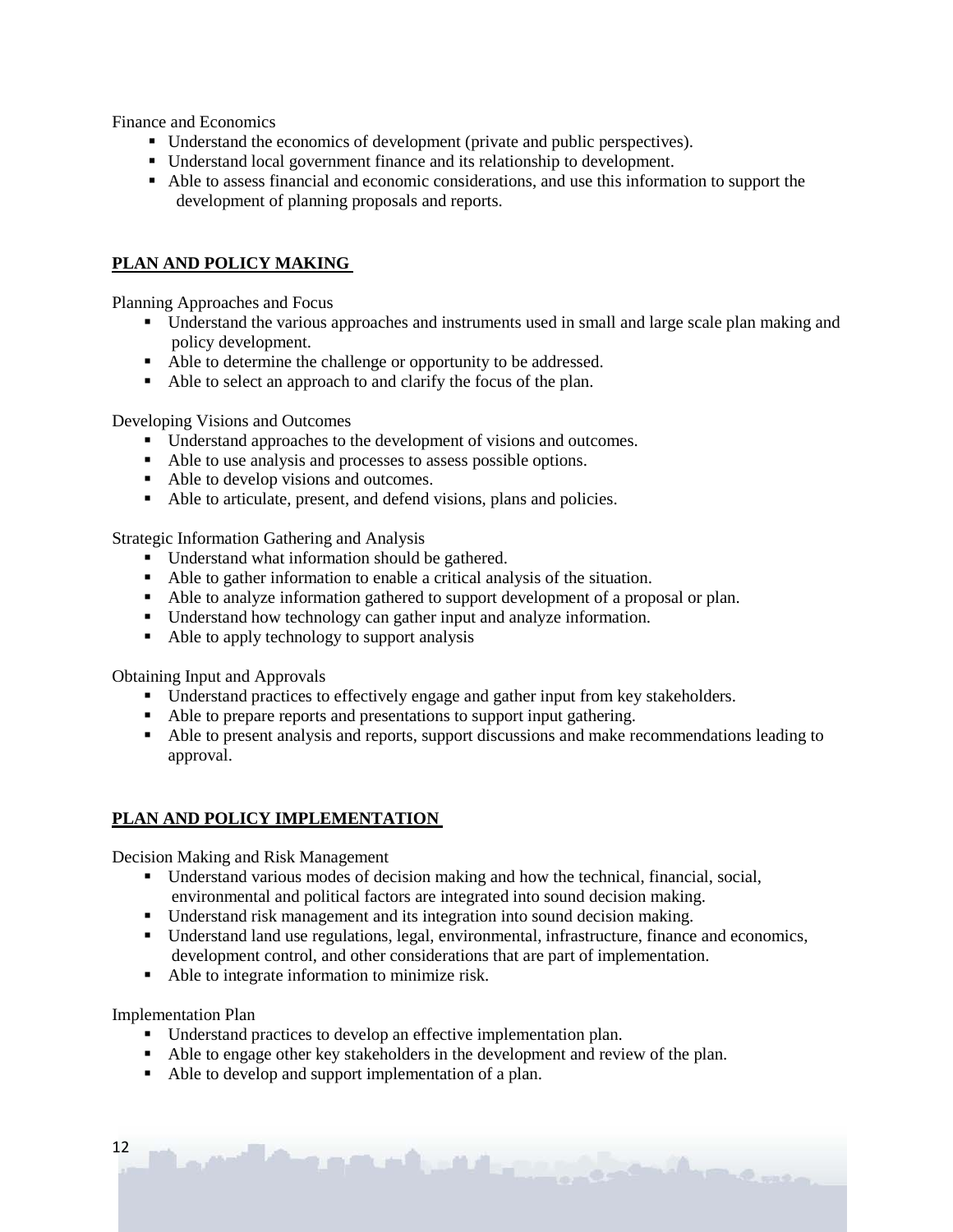Finance and Economics

- Understand the economics of development (private and public perspectives).
- Understand local government finance and its relationship to development.
- Able to assess financial and economic considerations, and use this information to support the development of planning proposals and reports.

### **PLAN AND POLICY MAKING**

Planning Approaches and Focus

- Understand the various approaches and instruments used in small and large scale plan making and policy development.
- Able to determine the challenge or opportunity to be addressed.
- Able to select an approach to and clarify the focus of the plan.

Developing Visions and Outcomes

- Understand approaches to the development of visions and outcomes.
- Able to use analysis and processes to assess possible options.
- Able to develop visions and outcomes.
- Able to articulate, present, and defend visions, plans and policies.

Strategic Information Gathering and Analysis

- Understand what information should be gathered.
- Able to gather information to enable a critical analysis of the situation.
- Able to analyze information gathered to support development of a proposal or plan.
- Understand how technology can gather input and analyze information.
- Able to apply technology to support analysis

Obtaining Input and Approvals

- Understand practices to effectively engage and gather input from key stakeholders.
- Able to prepare reports and presentations to support input gathering.
- Able to present analysis and reports, support discussions and make recommendations leading to approval.

#### **PLAN AND POLICY IMPLEMENTATION**

Decision Making and Risk Management

- Understand various modes of decision making and how the technical, financial, social, environmental and political factors are integrated into sound decision making.
- Understand risk management and its integration into sound decision making.
- Understand land use regulations, legal, environmental, infrastructure, finance and economics, development control, and other considerations that are part of implementation.

C. Barrio

• Able to integrate information to minimize risk.

Implementation Plan

12

Understand practices to develop an effective implementation plan.

and the seal of the seal of

- Able to engage other key stakeholders in the development and review of the plan.
- Able to develop and support implementation of a plan.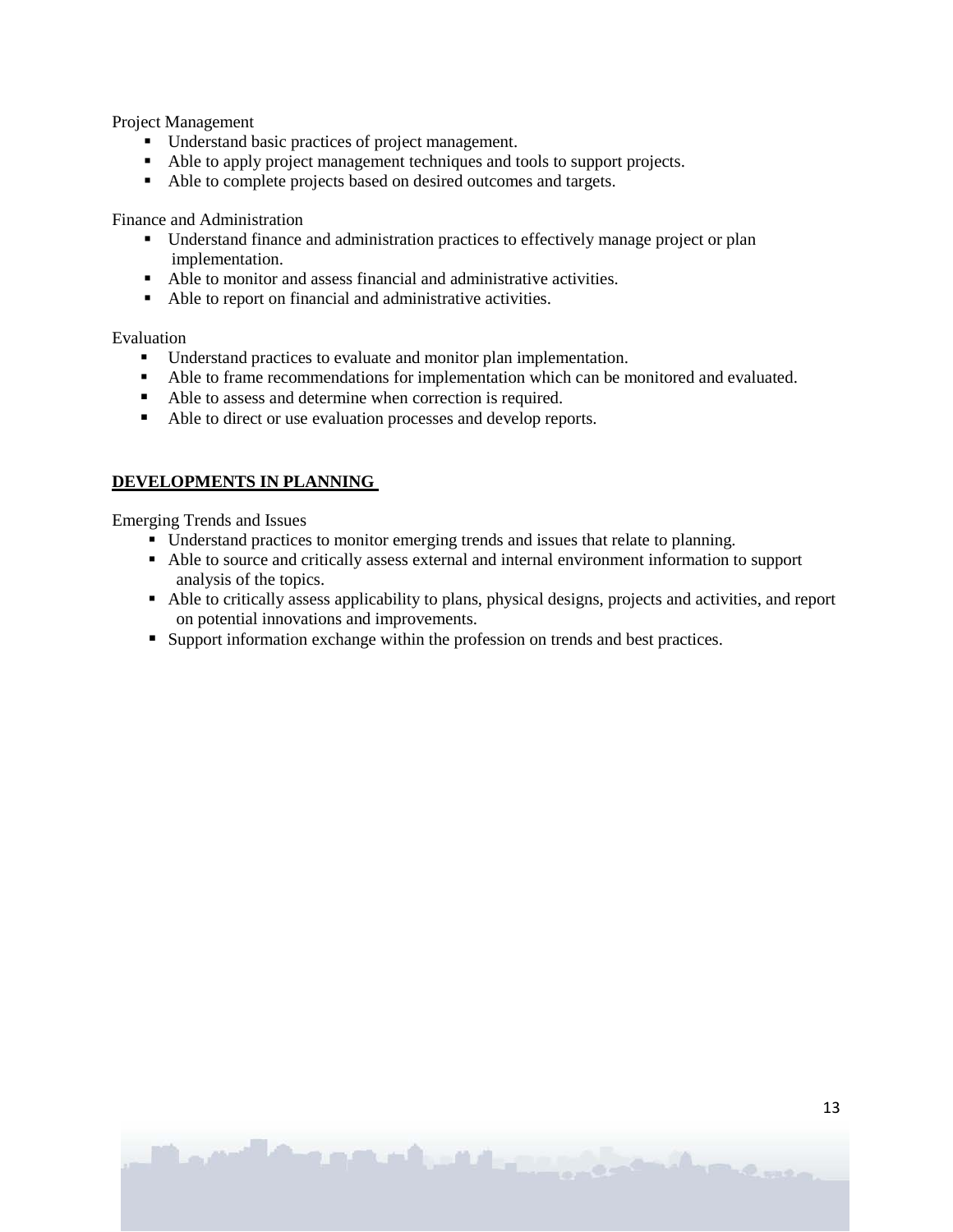Project Management

- Understand basic practices of project management.
- Able to apply project management techniques and tools to support projects.
- Able to complete projects based on desired outcomes and targets.

Finance and Administration

- Understand finance and administration practices to effectively manage project or plan implementation.
- Able to monitor and assess financial and administrative activities.
- Able to report on financial and administrative activities.

Evaluation

- Understand practices to evaluate and monitor plan implementation.<br>■ Able to frame recommendations for implementation which can be n
- Able to frame recommendations for implementation which can be monitored and evaluated.
- Able to assess and determine when correction is required.
- Able to direct or use evaluation processes and develop reports.

#### **DEVELOPMENTS IN PLANNING**

Emerging Trends and Issues

- Understand practices to monitor emerging trends and issues that relate to planning.
- Able to source and critically assess external and internal environment information to support analysis of the topics.
- Able to critically assess applicability to plans, physical designs, projects and activities, and report on potential innovations and improvements.
- Support information exchange within the profession on trends and best practices.

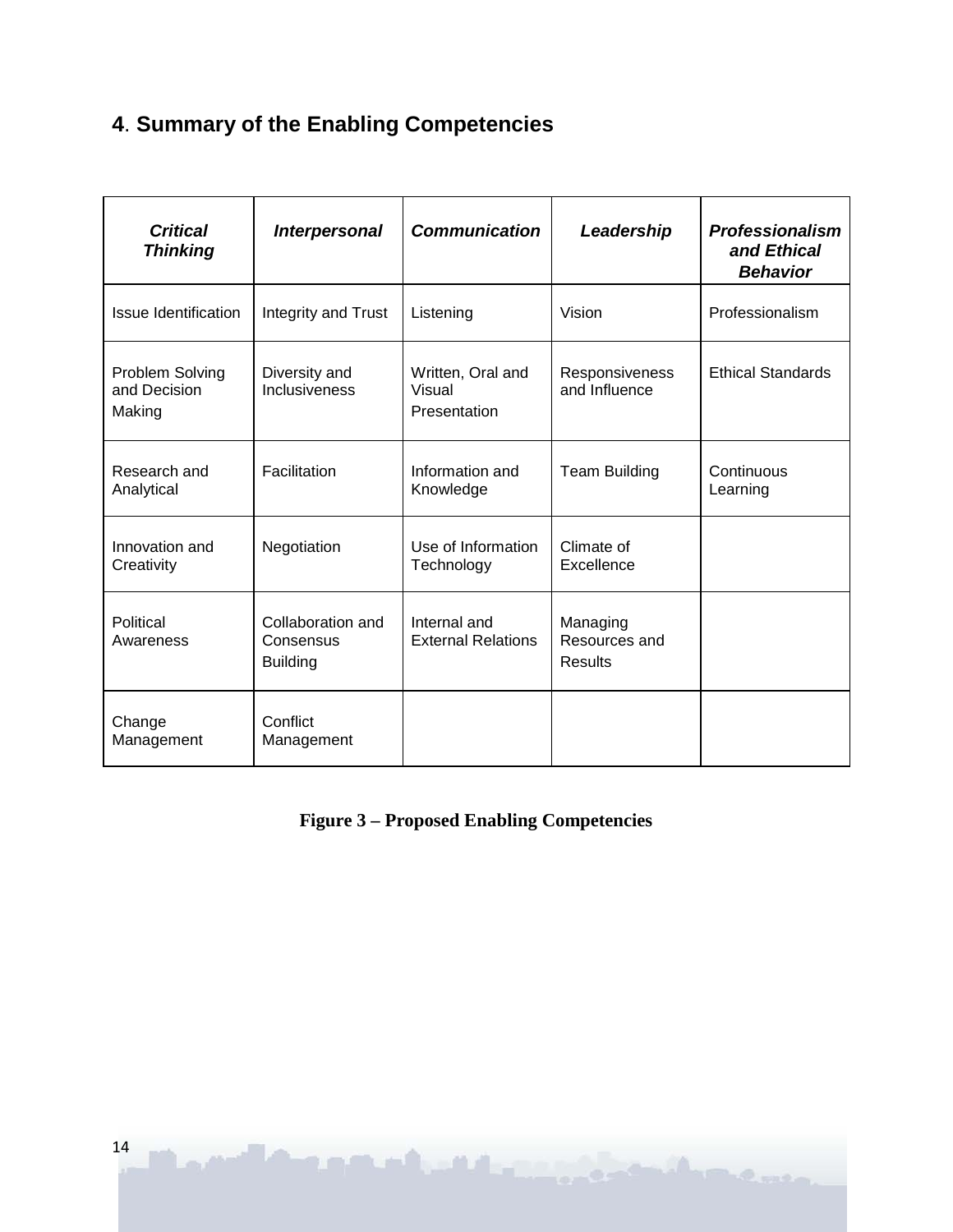# **4**. **Summary of the Enabling Competencies**

| <b>Critical</b><br><b>Thinking</b>        | <b>Interpersonal</b>                              | <b>Communication</b>                        | Leadership                                  | <b>Professionalism</b><br>and Ethical<br><b>Behavior</b> |
|-------------------------------------------|---------------------------------------------------|---------------------------------------------|---------------------------------------------|----------------------------------------------------------|
| Issue Identification                      | Integrity and Trust                               | Listening                                   | Vision                                      | Professionalism                                          |
| Problem Solving<br>and Decision<br>Making | Diversity and<br>Inclusiveness                    | Written, Oral and<br>Visual<br>Presentation | Responsiveness<br>and Influence             | <b>Ethical Standards</b>                                 |
| Research and<br>Analytical                | Facilitation                                      | Information and<br>Knowledge                | <b>Team Building</b>                        | Continuous<br>Learning                                   |
| Innovation and<br>Creativity              | Negotiation                                       | Use of Information<br>Technology            | Climate of<br>Excellence                    |                                                          |
| Political<br>Awareness                    | Collaboration and<br>Consensus<br><b>Building</b> | Internal and<br><b>External Relations</b>   | Managing<br>Resources and<br><b>Results</b> |                                                          |
| Change<br>Management                      | Conflict<br>Management                            |                                             |                                             |                                                          |

**Figure 3 – Proposed Enabling Competencies**

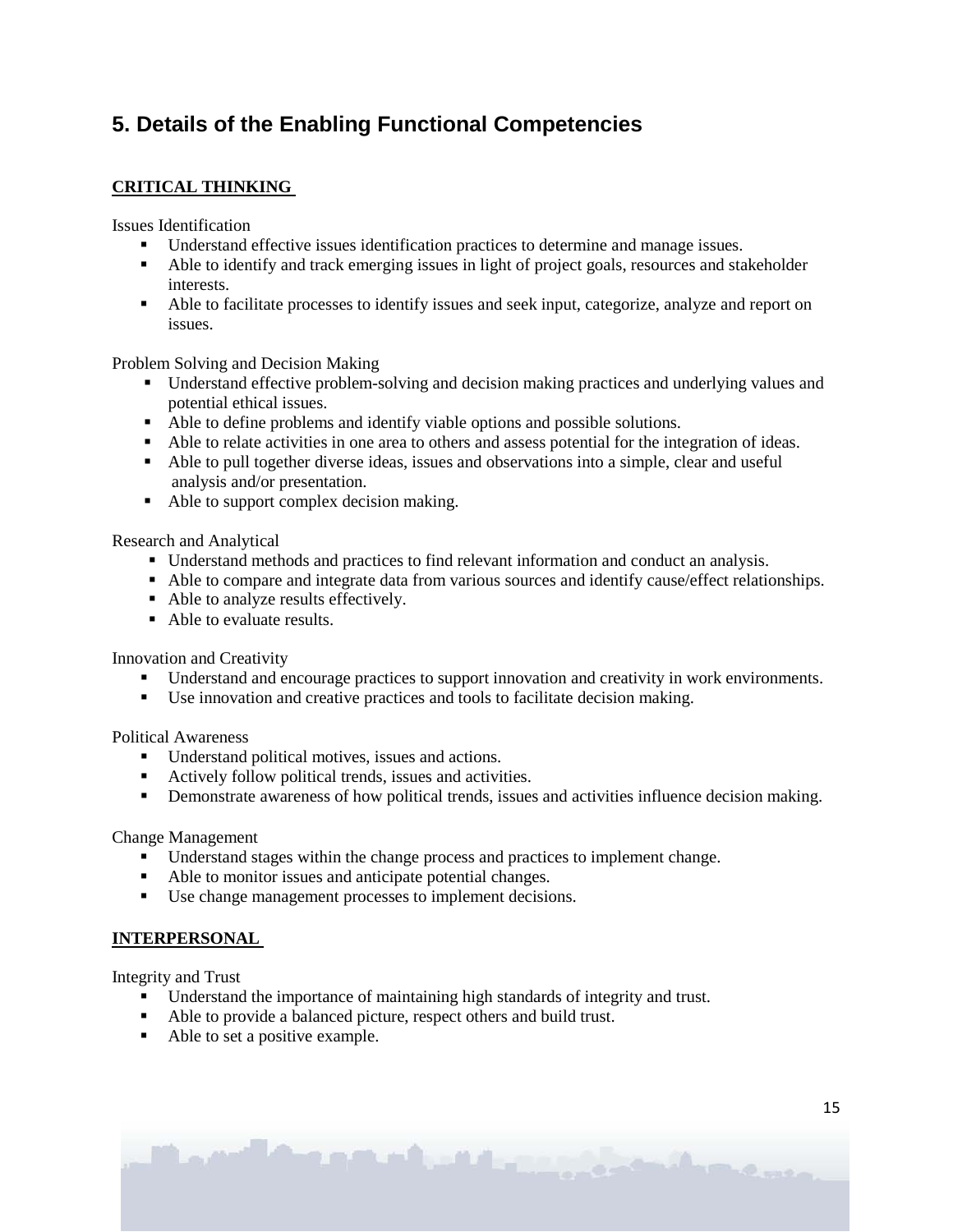# **5. Details of the Enabling Functional Competencies**

### **CRITICAL THINKING**

Issues Identification

- Understand effective issues identification practices to determine and manage issues.
- Able to identify and track emerging issues in light of project goals, resources and stakeholder interests.
- Able to facilitate processes to identify issues and seek input, categorize, analyze and report on issues.

Problem Solving and Decision Making

- Understand effective problem-solving and decision making practices and underlying values and potential ethical issues.
- Able to define problems and identify viable options and possible solutions.
- Able to relate activities in one area to others and assess potential for the integration of ideas.
- Able to pull together diverse ideas, issues and observations into a simple, clear and useful analysis and/or presentation.
- Able to support complex decision making.

Research and Analytical

- Understand methods and practices to find relevant information and conduct an analysis.
- Able to compare and integrate data from various sources and identify cause/effect relationships.
- Able to analyze results effectively.
- Able to evaluate results.

Innovation and Creativity

- Understand and encourage practices to support innovation and creativity in work environments.
- Use innovation and creative practices and tools to facilitate decision making.

Political Awareness

- Understand political motives, issues and actions.
- Actively follow political trends, issues and activities.
- **•** Demonstrate awareness of how political trends, issues and activities influence decision making.

Change Management

- Understand stages within the change process and practices to implement change.
- Able to monitor issues and anticipate potential changes.
- Use change management processes to implement decisions.

### **INTERPERSONAL**

Integrity and Trust

- Understand the importance of maintaining high standards of integrity and trust.
- Able to provide a balanced picture, respect others and build trust.
- Able to set a positive example.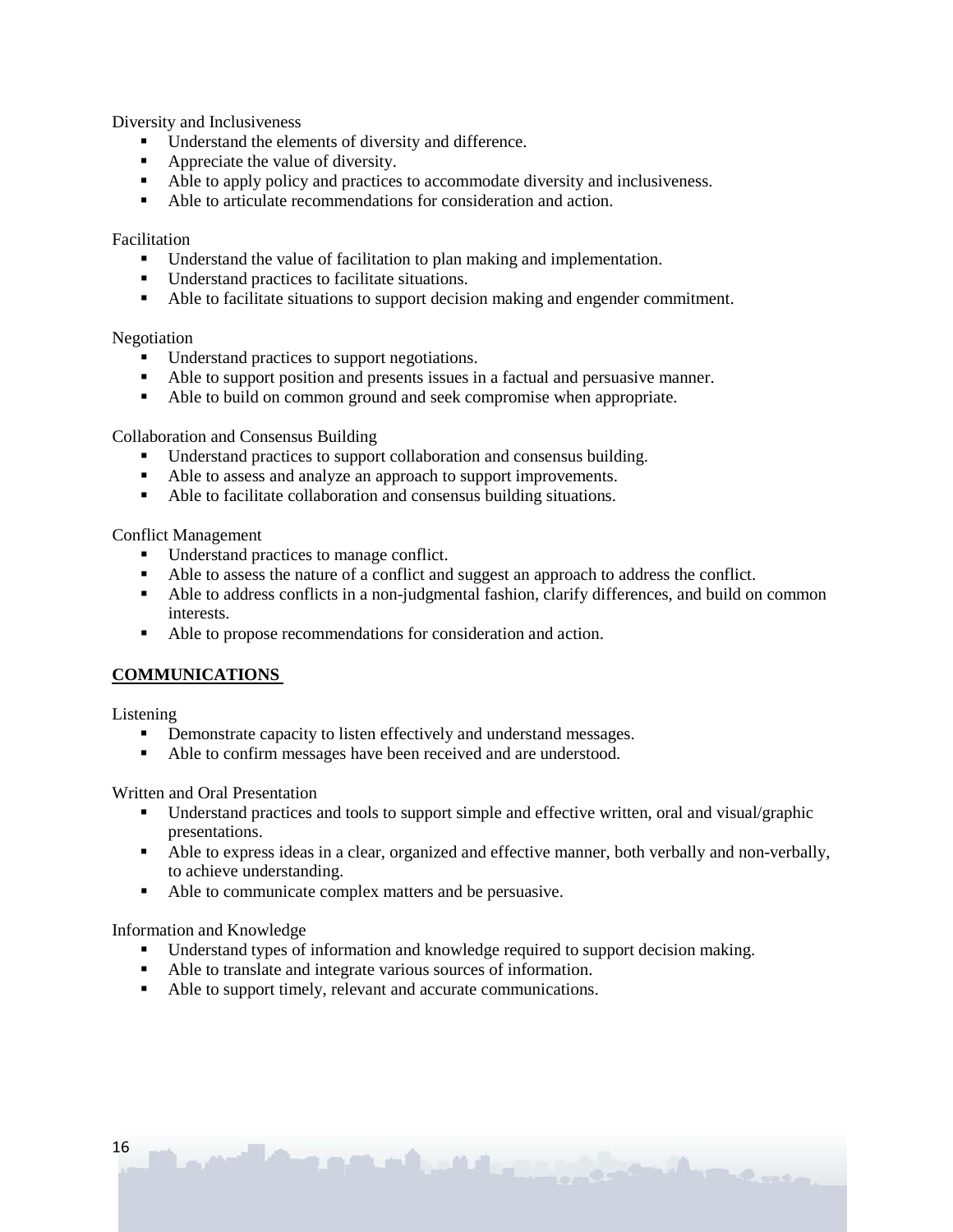Diversity and Inclusiveness

- Understand the elements of diversity and difference.
- Appreciate the value of diversity.
- Able to apply policy and practices to accommodate diversity and inclusiveness.
- Able to articulate recommendations for consideration and action.

Facilitation

- Understand the value of facilitation to plan making and implementation.
- Understand practices to facilitate situations.
- Able to facilitate situations to support decision making and engender commitment.

Negotiation

- **IDED** Understand practices to support negotiations.
- Able to support position and presents issues in a factual and persuasive manner.
- Able to build on common ground and seek compromise when appropriate.

Collaboration and Consensus Building

- Understand practices to support collaboration and consensus building.
- Able to assess and analyze an approach to support improvements.
- Able to facilitate collaboration and consensus building situations.

Conflict Management

- Understand practices to manage conflict.
- Able to assess the nature of a conflict and suggest an approach to address the conflict.
- Able to address conflicts in a non-judgmental fashion, clarify differences, and build on common interests.
- Able to propose recommendations for consideration and action.

### **COMMUNICATIONS**

Listening

- Demonstrate capacity to listen effectively and understand messages.
- Able to confirm messages have been received and are understood.

Written and Oral Presentation

- Understand practices and tools to support simple and effective written, oral and visual/graphic presentations.
- Able to express ideas in a clear, organized and effective manner, both verbally and non-verbally, to achieve understanding.

C. Roman

Able to communicate complex matters and be persuasive.

Information and Knowledge

- Understand types of information and knowledge required to support decision making.
- Able to translate and integrate various sources of information.
- Able to support timely, relevant and accurate communications.

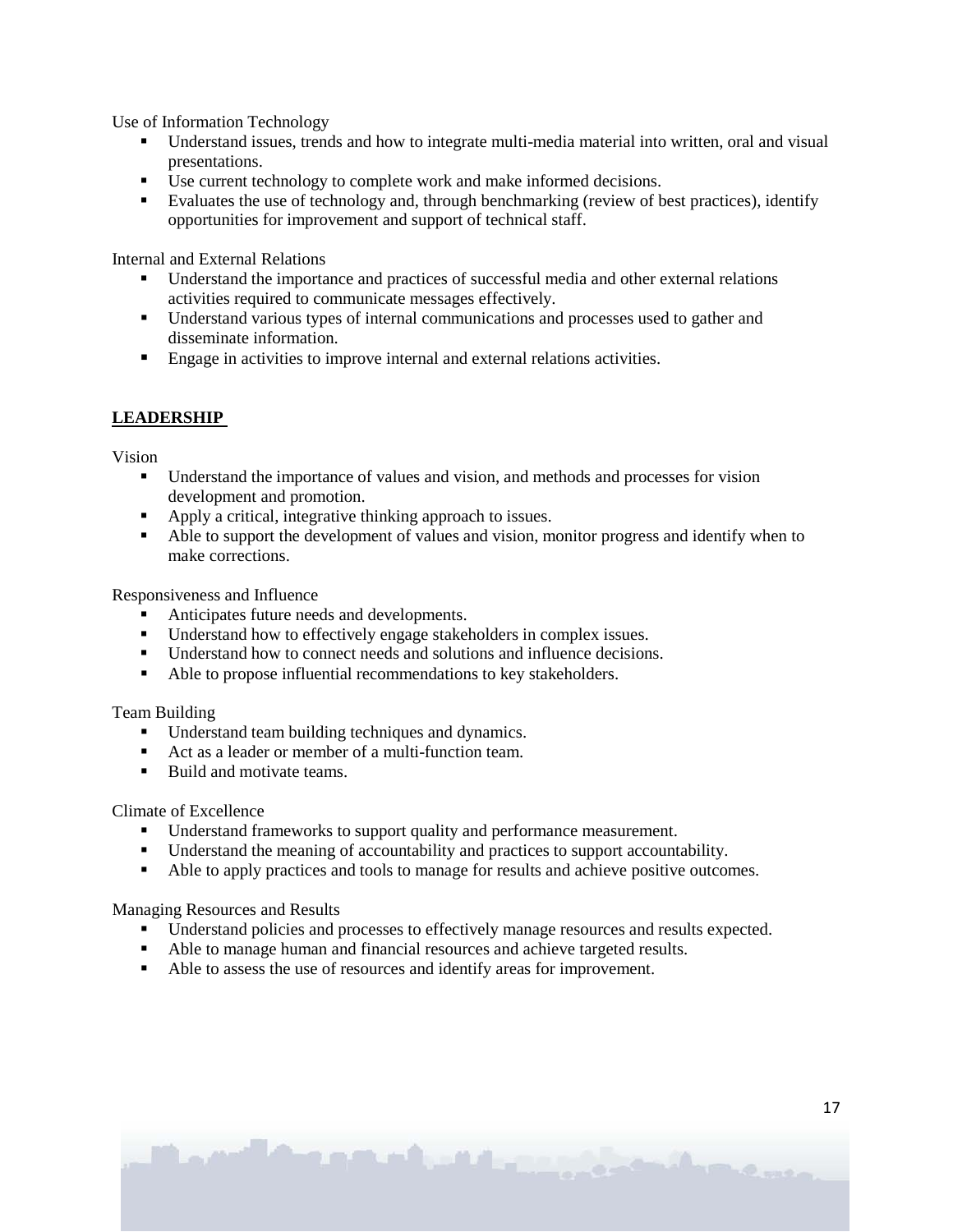Use of Information Technology

- Understand issues, trends and how to integrate multi-media material into written, oral and visual presentations.
- Use current technology to complete work and make informed decisions.
- Evaluates the use of technology and, through benchmarking (review of best practices), identify opportunities for improvement and support of technical staff.

Internal and External Relations

- Understand the importance and practices of successful media and other external relations activities required to communicate messages effectively.
- Understand various types of internal communications and processes used to gather and disseminate information.
- **Engage in activities to improve internal and external relations activities.**

### **LEADERSHIP**

Vision

- **Understand the importance of values and vision, and methods and processes for vision** development and promotion.
- Apply a critical, integrative thinking approach to issues.
- Able to support the development of values and vision, monitor progress and identify when to make corrections.

Responsiveness and Influence

- Anticipates future needs and developments.
- Understand how to effectively engage stakeholders in complex issues.
- Understand how to connect needs and solutions and influence decisions.
- Able to propose influential recommendations to key stakeholders.

Team Building

- Understand team building techniques and dynamics.
- Act as a leader or member of a multi-function team.
- Build and motivate teams.

Climate of Excellence

- Understand frameworks to support quality and performance measurement.
- Understand the meaning of accountability and practices to support accountability.
- Able to apply practices and tools to manage for results and achieve positive outcomes.

Managing Resources and Results

- Understand policies and processes to effectively manage resources and results expected.
- Able to manage human and financial resources and achieve targeted results.
- Able to assess the use of resources and identify areas for improvement.

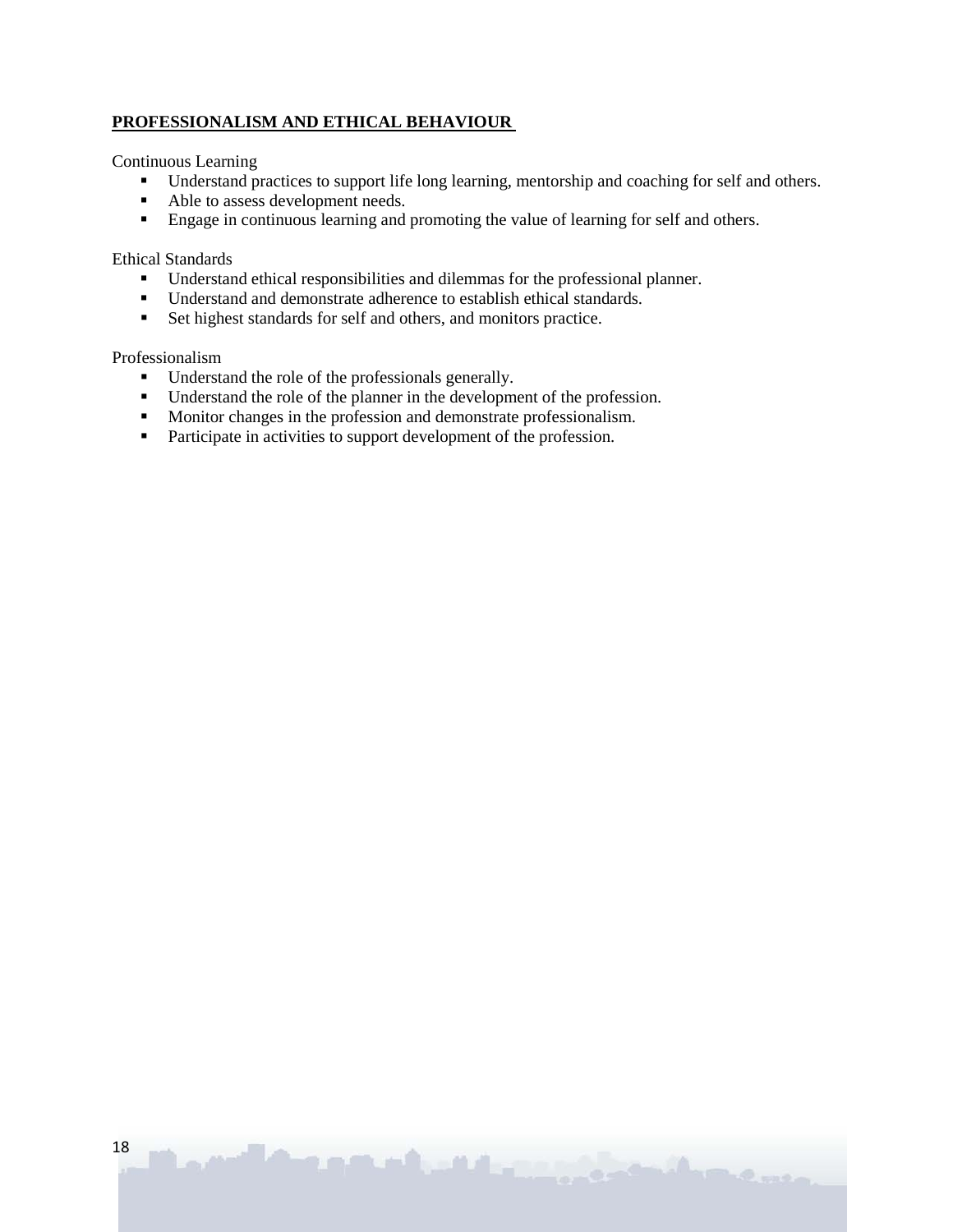#### **PROFESSIONALISM AND ETHICAL BEHAVIOUR**

Continuous Learning

Understand practices to support life long learning, mentorship and coaching for self and others.

**Professor** 

- Able to assess development needs.
- **Engage in continuous learning and promoting the value of learning for self and others.**

#### Ethical Standards

- Understand ethical responsibilities and dilemmas for the professional planner.
- Understand and demonstrate adherence to establish ethical standards.
- Set highest standards for self and others, and monitors practice.

Professionalism

- Understand the role of the professionals generally.
- Understand the role of the planner in the development of the profession.
- Monitor changes in the profession and demonstrate professionalism.
- **Participate in activities to support development of the profession.**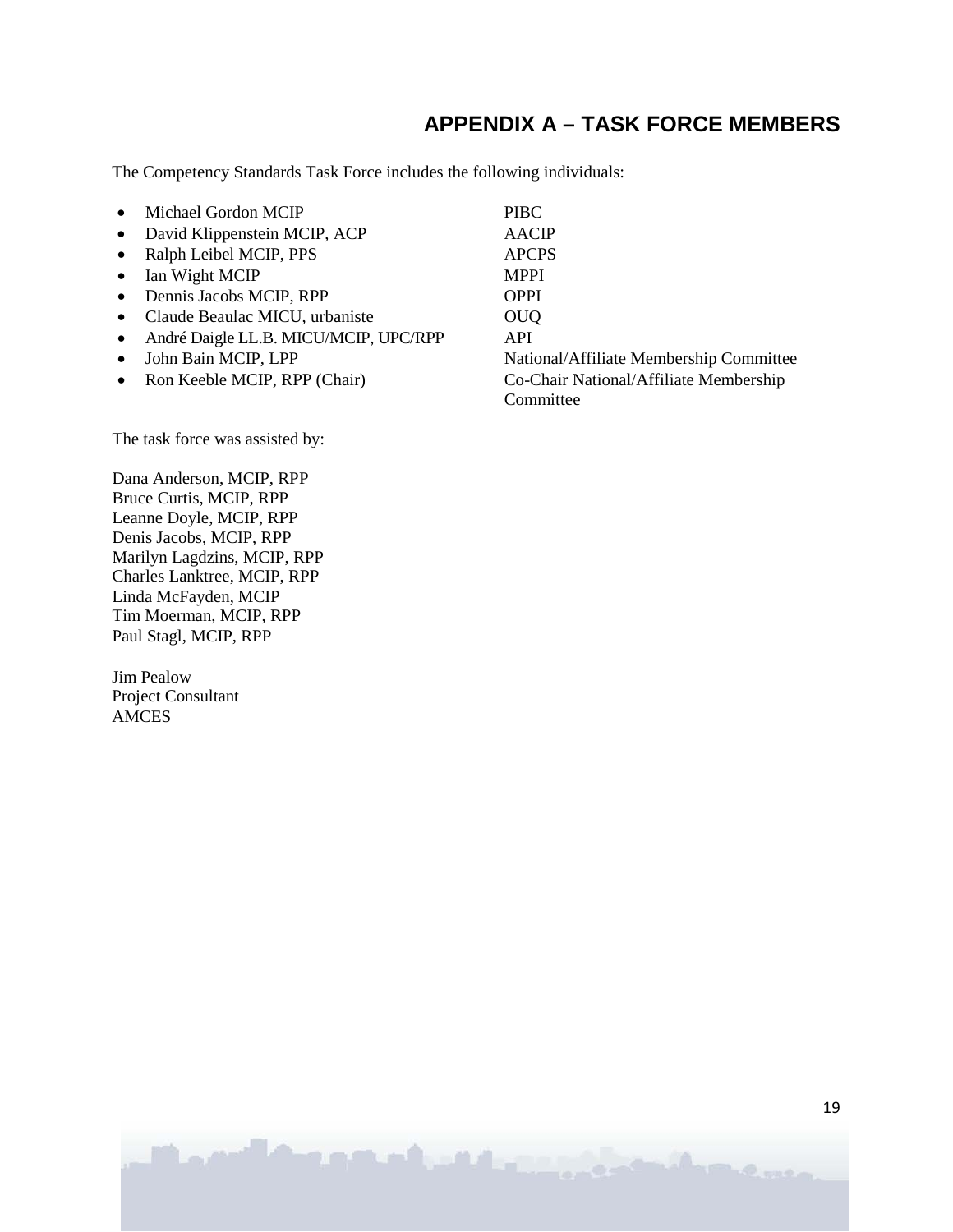# **APPENDIX A – TASK FORCE MEMBERS**

The Competency Standards Task Force includes the following individuals:

| $\bullet$ | Michael Gordon MCIP                   | <b>PIBC</b>                             |
|-----------|---------------------------------------|-----------------------------------------|
| $\bullet$ | David Klippenstein MCIP, ACP          | <b>AACIP</b>                            |
|           | • Ralph Leibel MCIP, PPS              | <b>APCPS</b>                            |
| $\bullet$ | Ian Wight MCIP                        | <b>MPPI</b>                             |
|           | • Dennis Jacobs MCIP, RPP             | <b>OPPI</b>                             |
|           | • Claude Beaulac MICU, urbaniste      | <b>OUQ</b>                              |
| $\bullet$ | André Daigle LL.B. MICU/MCIP, UPC/RPP | <b>API</b>                              |
| $\bullet$ | John Bain MCIP, LPP                   | National/Affiliate Membership Committee |
|           | • Ron Keeble MCIP, RPP (Chair)        | Co-Chair National/Affiliate Membership  |
|           |                                       | Committee                               |

The task force was assisted by:

Dana Anderson, MCIP, RPP Bruce Curtis, MCIP, RPP Leanne Doyle, MCIP, RPP Denis Jacobs, MCIP, RPP Marilyn Lagdzins, MCIP, RPP Charles Lanktree, MCIP, RPP Linda McFayden, MCIP Tim Moerman, MCIP, RPP Paul Stagl, MCIP, RPP

Jim Pealow Project Consultant AMCES